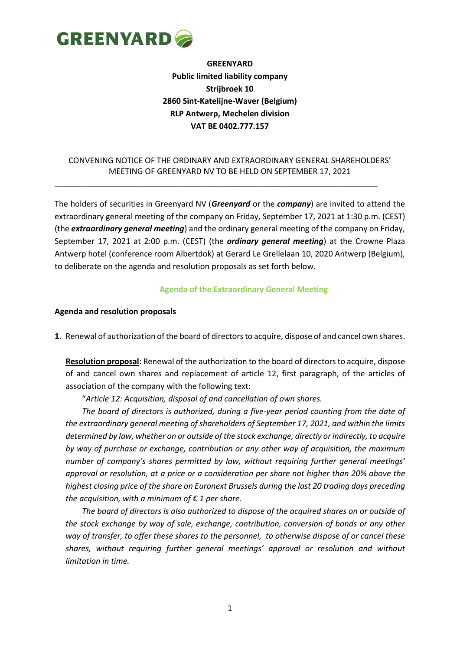

**GREENYARD Public limited liability company Strijbroek 10 2860 Sint-Katelijne-Waver (Belgium) RLP Antwerp, Mechelen division VAT BE 0402.777.157**

### CONVENING NOTICE OF THE ORDINARY AND EXTRAORDINARY GENERAL SHAREHOLDERS' MEETING OF GREENYARD NV TO BE HELD ON SEPTEMBER 17, 2021

\_\_\_\_\_\_\_\_\_\_\_\_\_\_\_\_\_\_\_\_\_\_\_\_\_\_\_\_\_\_\_\_\_\_\_\_\_\_\_\_\_\_\_\_\_\_\_\_\_\_\_\_\_\_\_\_\_\_\_\_\_\_\_\_\_\_\_\_\_\_\_\_\_

The holders of securities in Greenyard NV (*Greenyard* or the *company*) are invited to attend the extraordinary general meeting of the company on Friday, September 17, 2021 at 1:30 p.m. (CEST) (the *extraordinary general meeting*) and the ordinary general meeting of the company on Friday, September 17, 2021 at 2:00 p.m. (CEST) (the *ordinary general meeting*) at the Crowne Plaza Antwerp hotel (conference room Albertdok) at Gerard Le Grellelaan 10, 2020 Antwerp (Belgium), to deliberate on the agenda and resolution proposals as set forth below.

#### **Agenda of the Extraordinary General Meeting**

#### **Agenda and resolution proposals**

**1.** Renewal of authorization of the board of directors to acquire, dispose of and cancel own shares.

**Resolution proposal**: Renewal of the authorization to the board of directors to acquire, dispose of and cancel own shares and replacement of article 12, first paragraph, of the articles of association of the company with the following text:

"*Article 12: Acquisition, disposal of and cancellation of own shares.*

*The board of directors is authorized, during a five-year period counting from the date of the extraordinary general meeting of shareholders of September 17, 2021, and within the limits determined by law, whether on or outside of the stock exchange, directly or indirectly, to acquire by way of purchase or exchange, contribution or any other way of acquisition, the maximum number of company's shares permitted by law, without requiring further general meetings' approval or resolution, at a price or a consideration per share not higher than 20% above the highest closing price of the share on Euronext Brussels during the last 20 trading days preceding the acquisition, with a minimum of € 1 per share.* 

*The board of directors is also authorized to dispose of the acquired shares on or outside of the stock exchange by way of sale, exchange, contribution, conversion of bonds or any other way of transfer, to offer these shares to the personnel, to otherwise dispose of or cancel these shares, without requiring further general meetings' approval or resolution and without limitation in time.*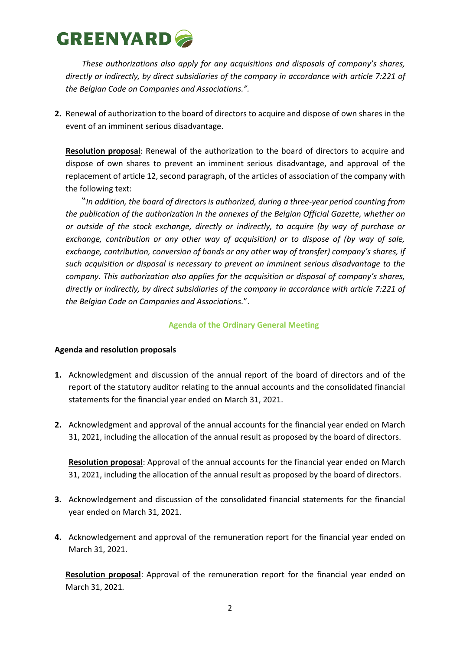*These authorizations also apply for any acquisitions and disposals of company's shares, directly or indirectly, by direct subsidiaries of the company in accordance with article 7:221 of the Belgian Code on Companies and Associations.".* 

**2.** Renewal of authorization to the board of directors to acquire and dispose of own shares in the event of an imminent serious disadvantage.

**Resolution proposal**: Renewal of the authorization to the board of directors to acquire and dispose of own shares to prevent an imminent serious disadvantage, and approval of the replacement of article 12, second paragraph, of the articles of association of the company with the following text:

"*In addition, the board of directors is authorized, during a three-year period counting from the publication of the authorization in the annexes of the Belgian Official Gazette, whether on or outside of the stock exchange, directly or indirectly, to acquire (by way of purchase or exchange, contribution or any other way of acquisition) or to dispose of (by way of sale, exchange, contribution, conversion of bonds or any other way of transfer) company's shares, if such acquisition or disposal is necessary to prevent an imminent serious disadvantage to the company. This authorization also applies for the acquisition or disposal of company's shares, directly or indirectly, by direct subsidiaries of the company in accordance with article 7:221 of the Belgian Code on Companies and Associations.*".

## **Agenda of the Ordinary General Meeting**

## **Agenda and resolution proposals**

- **1.** Acknowledgment and discussion of the annual report of the board of directors and of the report of the statutory auditor relating to the annual accounts and the consolidated financial statements for the financial year ended on March 31, 2021.
- **2.** Acknowledgment and approval of the annual accounts for the financial year ended on March 31, 2021, including the allocation of the annual result as proposed by the board of directors.

**Resolution proposal**: Approval of the annual accounts for the financial year ended on March 31, 2021, including the allocation of the annual result as proposed by the board of directors.

- **3.** Acknowledgement and discussion of the consolidated financial statements for the financial year ended on March 31, 2021.
- **4.** Acknowledgement and approval of the remuneration report for the financial year ended on March 31, 2021.

**Resolution proposal**: Approval of the remuneration report for the financial year ended on March 31, 2021*.*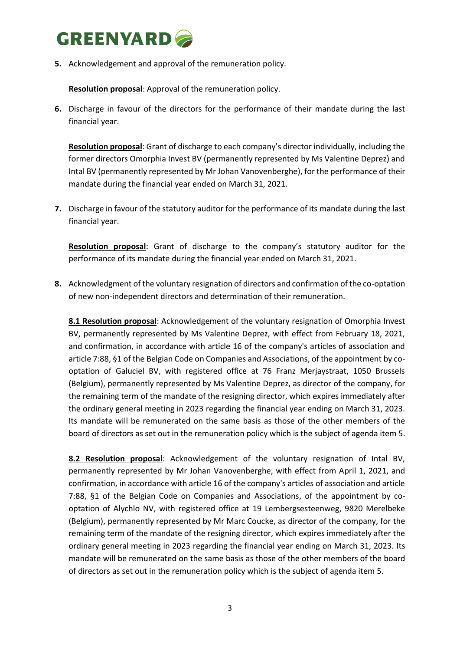**5.** Acknowledgement and approval of the remuneration policy.

**Resolution proposal**: Approval of the remuneration policy.

**6.** Discharge in favour of the directors for the performance of their mandate during the last financial year.

**Resolution proposal**: Grant of discharge to each company's director individually, including the former directors Omorphia Invest BV (permanently represented by Ms Valentine Deprez) and Intal BV (permanently represented by Mr Johan Vanovenberghe), for the performance of their mandate during the financial year ended on March 31, 2021.

**7.** Discharge in favour of the statutory auditor for the performance of its mandate during the last financial year.

**Resolution proposal**: Grant of discharge to the company's statutory auditor for the performance of its mandate during the financial year ended on March 31, 2021.

**8.** Acknowledgment of the voluntary resignation of directors and confirmation of the co-optation of new non-independent directors and determination of their remuneration.

**8.1 Resolution proposal**: Acknowledgement of the voluntary resignation of Omorphia Invest BV, permanently represented by Ms Valentine Deprez, with effect from February 18, 2021, and confirmation, in accordance with article 16 of the company's articles of association and article 7:88, §1 of the Belgian Code on Companies and Associations, of the appointment by cooptation of Galuciel BV, with registered office at 76 Franz Merjaystraat, 1050 Brussels (Belgium), permanently represented by Ms Valentine Deprez, as director of the company, for the remaining term of the mandate of the resigning director, which expires immediately after the ordinary general meeting in 2023 regarding the financial year ending on March 31, 2023. Its mandate will be remunerated on the same basis as those of the other members of the board of directors as set out in the remuneration policy which is the subject of agenda item 5.

**8.2 Resolution proposal**: Acknowledgement of the voluntary resignation of Intal BV, permanently represented by Mr Johan Vanovenberghe, with effect from April 1, 2021, and confirmation, in accordance with article 16 of the company's articles of association and article 7:88, §1 of the Belgian Code on Companies and Associations, of the appointment by cooptation of Alychlo NV, with registered office at 19 Lembergsesteenweg, 9820 Merelbeke (Belgium), permanently represented by Mr Marc Coucke, as director of the company, for the remaining term of the mandate of the resigning director, which expires immediately after the ordinary general meeting in 2023 regarding the financial year ending on March 31, 2023. Its mandate will be remunerated on the same basis as those of the other members of the board of directors as set out in the remuneration policy which is the subject of agenda item 5.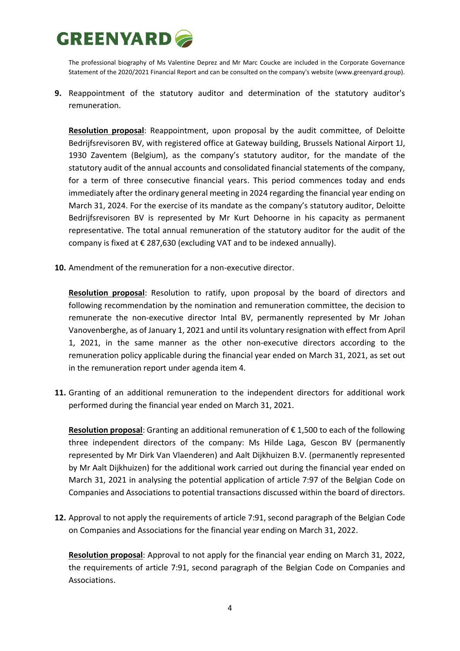The professional biography of Ms Valentine Deprez and Mr Marc Coucke are included in the Corporate Governance Statement of the 2020/2021 Financial Report and can be consulted on the company's website [\(www.greenyard.group\)](http://www.greenyard.group/).

**9.** Reappointment of the statutory auditor and determination of the statutory auditor's remuneration.

**Resolution proposal**: Reappointment, upon proposal by the audit committee, of Deloitte Bedrijfsrevisoren BV, with registered office at Gateway building, Brussels National Airport 1J, 1930 Zaventem (Belgium), as the company's statutory auditor, for the mandate of the statutory audit of the annual accounts and consolidated financial statements of the company, for a term of three consecutive financial years. This period commences today and ends immediately after the ordinary general meeting in 2024 regarding the financial year ending on March 31, 2024. For the exercise of its mandate as the company's statutory auditor, Deloitte Bedrijfsrevisoren BV is represented by Mr Kurt Dehoorne in his capacity as permanent representative. The total annual remuneration of the statutory auditor for the audit of the company is fixed at  $\epsilon$  287,630 (excluding VAT and to be indexed annually).

**10.** Amendment of the remuneration for a non-executive director.

**Resolution proposal**: Resolution to ratify, upon proposal by the board of directors and following recommendation by the nomination and remuneration committee, the decision to remunerate the non-executive director Intal BV, permanently represented by Mr Johan Vanovenberghe, as of January 1, 2021 and until its voluntary resignation with effect from April 1, 2021, in the same manner as the other non-executive directors according to the remuneration policy applicable during the financial year ended on March 31, 2021, as set out in the remuneration report under agenda item 4.

**11.** Granting of an additional remuneration to the independent directors for additional work performed during the financial year ended on March 31, 2021.

**Resolution proposal**: Granting an additional remuneration of € 1,500 to each of the following three independent directors of the company: Ms Hilde Laga, Gescon BV (permanently represented by Mr Dirk Van Vlaenderen) and Aalt Dijkhuizen B.V. (permanently represented by Mr Aalt Dijkhuizen) for the additional work carried out during the financial year ended on March 31, 2021 in analysing the potential application of article 7:97 of the Belgian Code on Companies and Associations to potential transactions discussed within the board of directors.

**12.** Approval to not apply the requirements of article 7:91, second paragraph of the Belgian Code on Companies and Associations for the financial year ending on March 31, 2022.

**Resolution proposal**: Approval to not apply for the financial year ending on March 31, 2022, the requirements of article 7:91, second paragraph of the Belgian Code on Companies and Associations.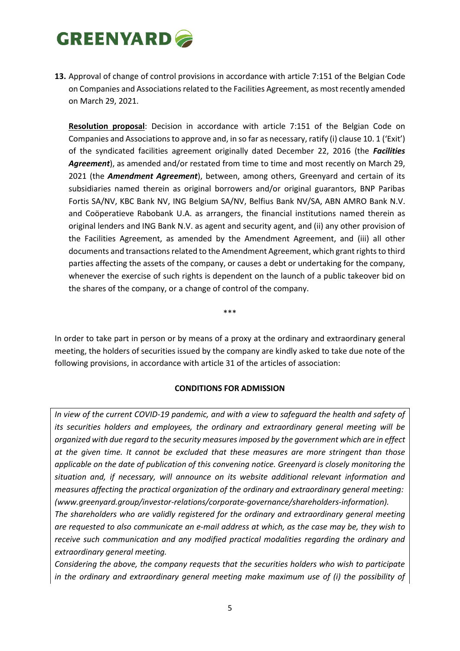**13.** Approval of change of control provisions in accordance with article 7:151 of the Belgian Code on Companies and Associations related to the Facilities Agreement, as most recently amended on March 29, 2021.

**Resolution proposal**: Decision in accordance with article 7:151 of the Belgian Code on Companies and Associations to approve and, in so far as necessary, ratify (i) clause 10. 1 ('Exit') of the syndicated facilities agreement originally dated December 22, 2016 (the *Facilities Agreement*), as amended and/or restated from time to time and most recently on March 29, 2021 (the *Amendment Agreement*), between, among others, Greenyard and certain of its subsidiaries named therein as original borrowers and/or original guarantors, BNP Paribas Fortis SA/NV, KBC Bank NV, ING Belgium SA/NV, Belfius Bank NV/SA, ABN AMRO Bank N.V. and Coöperatieve Rabobank U.A. as arrangers, the financial institutions named therein as original lenders and ING Bank N.V. as agent and security agent, and (ii) any other provision of the Facilities Agreement, as amended by the Amendment Agreement, and (iii) all other documents and transactions related to the Amendment Agreement, which grant rights to third parties affecting the assets of the company, or causes a debt or undertaking for the company, whenever the exercise of such rights is dependent on the launch of a public takeover bid on the shares of the company, or a change of control of the company.

\*\*\*

In order to take part in person or by means of a proxy at the ordinary and extraordinary general meeting, the holders of securities issued by the company are kindly asked to take due note of the following provisions, in accordance with article 31 of the articles of association:

## **CONDITIONS FOR ADMISSION**

*In view of the current COVID-19 pandemic, and with a view to safeguard the health and safety of its securities holders and employees, the ordinary and extraordinary general meeting will be organized with due regard to the security measures imposed by the government which are in effect at the given time. It cannot be excluded that these measures are more stringent than those applicable on the date of publication of this convening notice. Greenyard is closely monitoring the situation and, if necessary, will announce on its website additional relevant information and measures affecting the practical organization of the ordinary and extraordinary general meeting: [\(www.greenyard.group/investor-relations/corporate-governance/shareholders-information\)](http://www.greenyard.group/investor-relations/corporate-governance/shareholders-information).* 

*The shareholders who are validly registered for the ordinary and extraordinary general meeting are requested to also communicate an e-mail address at which, as the case may be, they wish to receive such communication and any modified practical modalities regarding the ordinary and extraordinary general meeting.* 

*Considering the above, the company requests that the securities holders who wish to participate in the ordinary and extraordinary general meeting make maximum use of (i) the possibility of*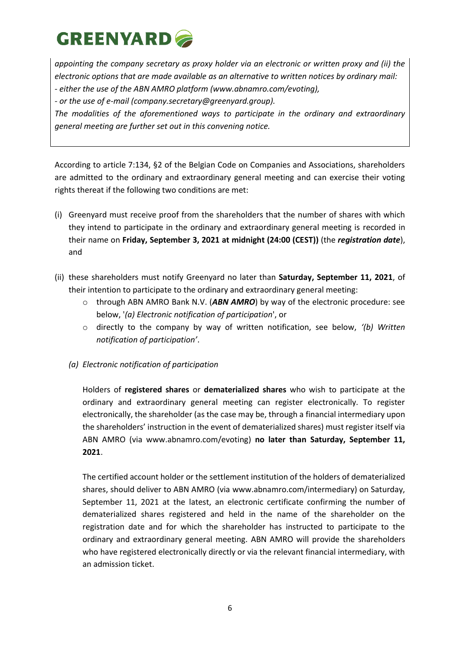*appointing the company secretary as proxy holder via an electronic or written proxy and (ii) the electronic options that are made available as an alternative to written notices by ordinary mail: - either the use of the ABN AMRO platform (www.abnamro.com/evoting),*

*- or the use of e-mail [\(company.secretary@greenyard.group\)](mailto:company.secretary@greenyard.group).*

*The modalities of the aforementioned ways to participate in the ordinary and extraordinary general meeting are further set out in this convening notice.*

According to article 7:134, §2 of the Belgian Code on Companies and Associations, shareholders are admitted to the ordinary and extraordinary general meeting and can exercise their voting rights thereat if the following two conditions are met:

- (i) Greenyard must receive proof from the shareholders that the number of shares with which they intend to participate in the ordinary and extraordinary general meeting is recorded in their name on **Friday, September 3, 2021 at midnight (24:00 (CEST))** (the *registration date*), and
- (ii) these shareholders must notify Greenyard no later than **Saturday, September 11, 2021**, of their intention to participate to the ordinary and extraordinary general meeting:
	- o through ABN AMRO Bank N.V. (*ABN AMRO*) by way of the electronic procedure: see below, '*(a) Electronic notification of participation*', or
	- o directly to the company by way of written notification, see below, *'(b) Written notification of participation'*.
	- *(a) Electronic notification of participation*

Holders of **registered shares** or **dematerialized shares** who wish to participate at the ordinary and extraordinary general meeting can register electronically. To register electronically, the shareholder (as the case may be, through a financial intermediary upon the shareholders' instruction in the event of dematerialized shares) must register itself via ABN AMRO (via [www.abnamro.com/evoting\)](http://www.abnamro.com/evoting) **no later than Saturday, September 11, 2021**.

The certified account holder or the settlement institution of the holders of dematerialized shares, should deliver to ABN AMRO (via [www.abnamro.com/intermediary\)](http://www.abnamro.com/intermediary) on Saturday, September 11, 2021 at the latest, an electronic certificate confirming the number of dematerialized shares registered and held in the name of the shareholder on the registration date and for which the shareholder has instructed to participate to the ordinary and extraordinary general meeting. ABN AMRO will provide the shareholders who have registered electronically directly or via the relevant financial intermediary, with an admission ticket.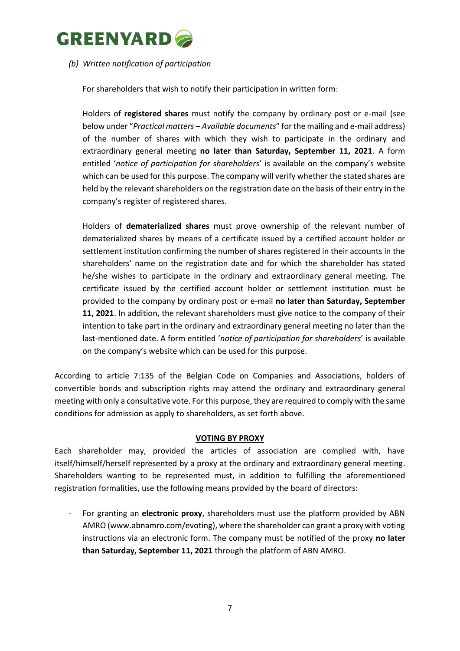

### *(b) Written notification of participation*

For shareholders that wish to notify their participation in written form:

Holders of **registered shares** must notify the company by ordinary post or e-mail (see below under "*Practical matters – Available documents*" for the mailing and e-mail address) of the number of shares with which they wish to participate in the ordinary and extraordinary general meeting **no later than Saturday, September 11, 2021**. A form entitled '*notice of participation for shareholders*' is available on the company's website which can be used for this purpose. The company will verify whether the stated shares are held by the relevant shareholders on the registration date on the basis of their entry in the company's register of registered shares.

Holders of **dematerialized shares** must prove ownership of the relevant number of dematerialized shares by means of a certificate issued by a certified account holder or settlement institution confirming the number of shares registered in their accounts in the shareholders' name on the registration date and for which the shareholder has stated he/she wishes to participate in the ordinary and extraordinary general meeting. The certificate issued by the certified account holder or settlement institution must be provided to the company by ordinary post or e-mail **no later than Saturday, September 11, 2021**. In addition, the relevant shareholders must give notice to the company of their intention to take part in the ordinary and extraordinary general meeting no later than the last-mentioned date. A form entitled '*notice of participation for shareholders*' is available on the company's website which can be used for this purpose.

According to article 7:135 of the Belgian Code on Companies and Associations, holders of convertible bonds and subscription rights may attend the ordinary and extraordinary general meeting with only a consultative vote. For this purpose, they are required to comply with the same conditions for admission as apply to shareholders, as set forth above.

#### **VOTING BY PROXY**

Each shareholder may, provided the articles of association are complied with, have itself/himself/herself represented by a proxy at the ordinary and extraordinary general meeting. Shareholders wanting to be represented must, in addition to fulfilling the aforementioned registration formalities, use the following means provided by the board of directors:

- For granting an **electronic proxy**, shareholders must use the platform provided by ABN AMRO [\(www.abnamro.com/evoting\)](http://www.abnamro.com/evoting), where the shareholder can grant a proxy with voting instructions via an electronic form. The company must be notified of the proxy **no later than Saturday, September 11, 2021** through the platform of ABN AMRO.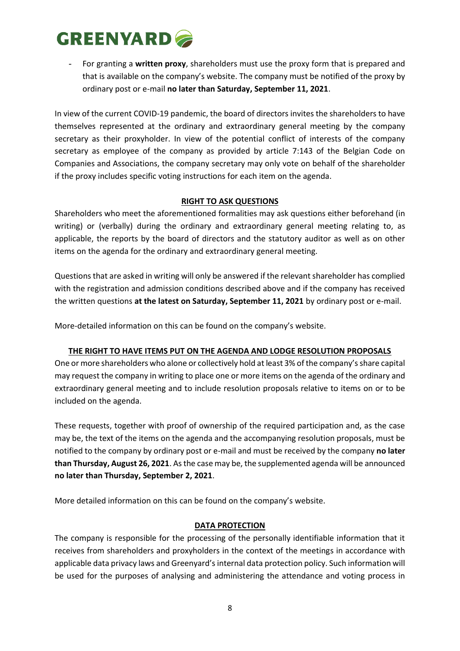- For granting a **written proxy**, shareholders must use the proxy form that is prepared and that is available on the company's website. The company must be notified of the proxy by ordinary post or e-mail **no later than Saturday, September 11, 2021**.

In view of the current COVID-19 pandemic, the board of directors invites the shareholders to have themselves represented at the ordinary and extraordinary general meeting by the company secretary as their proxyholder. In view of the potential conflict of interests of the company secretary as employee of the company as provided by article 7:143 of the Belgian Code on Companies and Associations, the company secretary may only vote on behalf of the shareholder if the proxy includes specific voting instructions for each item on the agenda.

## **RIGHT TO ASK QUESTIONS**

Shareholders who meet the aforementioned formalities may ask questions either beforehand (in writing) or (verbally) during the ordinary and extraordinary general meeting relating to, as applicable, the reports by the board of directors and the statutory auditor as well as on other items on the agenda for the ordinary and extraordinary general meeting.

Questions that are asked in writing will only be answered if the relevant shareholder has complied with the registration and admission conditions described above and if the company has received the written questions **at the latest on Saturday, September 11, 2021** by ordinary post or e-mail.

More-detailed information on this can be found on the company's website.

## **THE RIGHT TO HAVE ITEMS PUT ON THE AGENDA AND LODGE RESOLUTION PROPOSALS**

One or more shareholders who alone or collectively hold at least 3% of the company's share capital may request the company in writing to place one or more items on the agenda of the ordinary and extraordinary general meeting and to include resolution proposals relative to items on or to be included on the agenda.

These requests, together with proof of ownership of the required participation and, as the case may be, the text of the items on the agenda and the accompanying resolution proposals, must be notified to the company by ordinary post or e-mail and must be received by the company **no later than Thursday, August 26, 2021**. As the case may be, the supplemented agenda will be announced **no later than Thursday, September 2, 2021**.

More detailed information on this can be found on the company's website.

## **DATA PROTECTION**

The company is responsible for the processing of the personally identifiable information that it receives from shareholders and proxyholders in the context of the meetings in accordance with applicable data privacy laws and Greenyard's internal data protection policy. Such information will be used for the purposes of analysing and administering the attendance and voting process in